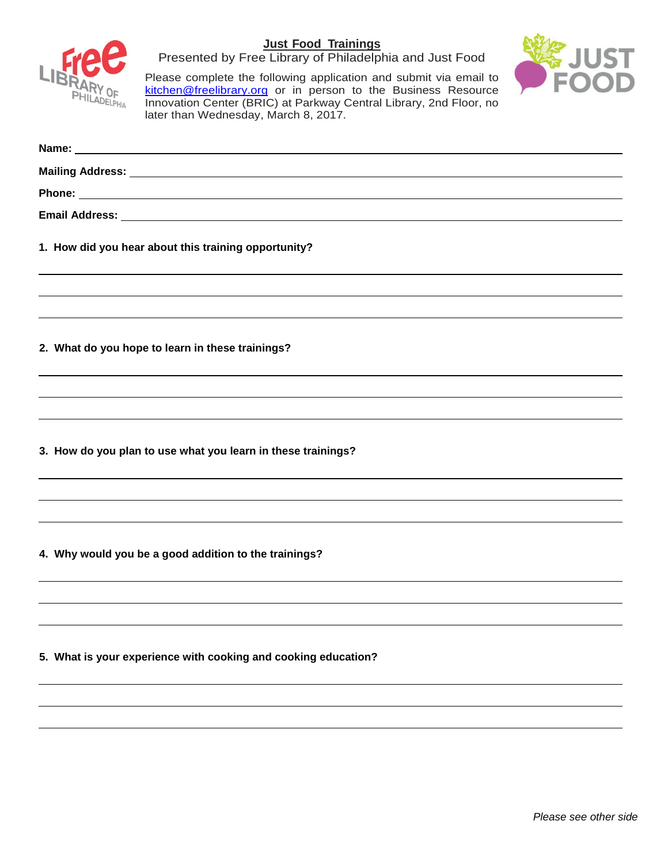

Presented by Free Library of Philadelphia and Just Food



Please complete the following application and submit via email to [kitchen@freelibrary.org](mailto:kitchen@freelibrary.org) or in person to the Business Resource Innovation Center (BRIC) at Parkway Central Library, 2nd Floor, no later than Wednesday, March 8, 2017.

| 1. How did you hear about this training opportunity?           |  |  |  |  |  |
|----------------------------------------------------------------|--|--|--|--|--|
|                                                                |  |  |  |  |  |
| 2. What do you hope to learn in these trainings?               |  |  |  |  |  |
|                                                                |  |  |  |  |  |
|                                                                |  |  |  |  |  |
| 3. How do you plan to use what you learn in these trainings?   |  |  |  |  |  |
|                                                                |  |  |  |  |  |
|                                                                |  |  |  |  |  |
| 4. Why would you be a good addition to the trainings?          |  |  |  |  |  |
|                                                                |  |  |  |  |  |
|                                                                |  |  |  |  |  |
| 5. What is your experience with cooking and cooking education? |  |  |  |  |  |
|                                                                |  |  |  |  |  |
|                                                                |  |  |  |  |  |